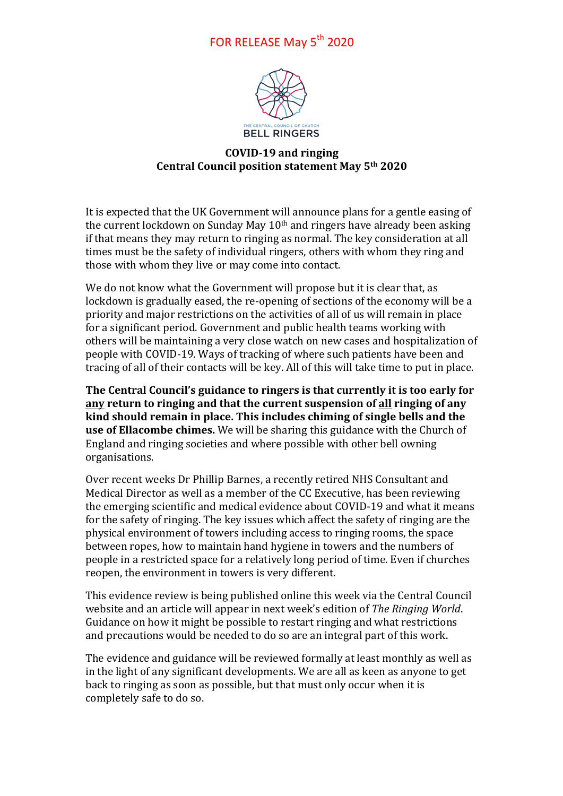## FOR RELEASE May 5<sup>th</sup> 2020



## **COVID-19 and ringing Central Council position statement May 5th 2020**

It is expected that the UK Government will announce plans for a gentle easing of the current lockdown on Sunday May  $10<sup>th</sup>$  and ringers have already been asking if that means they may return to ringing as normal. The key consideration at all times must be the safety of individual ringers, others with whom they ring and those with whom they live or may come into contact.

We do not know what the Government will propose but it is clear that, as lockdown is gradually eased, the re-opening of sections of the economy will be a priority and major restrictions on the activities of all of us will remain in place for a significant period. Government and public health teams working with others will be maintaining a very close watch on new cases and hospitalization of people with COVID-19. Ways of tracking of where such patients have been and tracing of all of their contacts will be key. All of this will take time to put in place.

**The Central Council's guidance to ringers is that currently it is too early for** any return to ringing and that the current suspension of all ringing of any kind should remain in place. This includes chiming of single bells and the **use of Ellacombe chimes.** We will be sharing this guidance with the Church of England and ringing societies and where possible with other bell owning organisations.

Over recent weeks Dr Phillip Barnes, a recently retired NHS Consultant and Medical Director as well as a member of the CC Executive, has been reviewing the emerging scientific and medical evidence about COVID-19 and what it means for the safety of ringing. The key issues which affect the safety of ringing are the physical environment of towers including access to ringing rooms, the space between ropes, how to maintain hand hygiene in towers and the numbers of people in a restricted space for a relatively long period of time. Even if churches reopen, the environment in towers is very different.

This evidence review is being published online this week via the Central Council website and an article will appear in next week's edition of *The Ringing World*. Guidance on how it might be possible to restart ringing and what restrictions and precautions would be needed to do so are an integral part of this work.

The evidence and guidance will be reviewed formally at least monthly as well as in the light of any significant developments. We are all as keen as anyone to get back to ringing as soon as possible, but that must only occur when it is completely safe to do so.